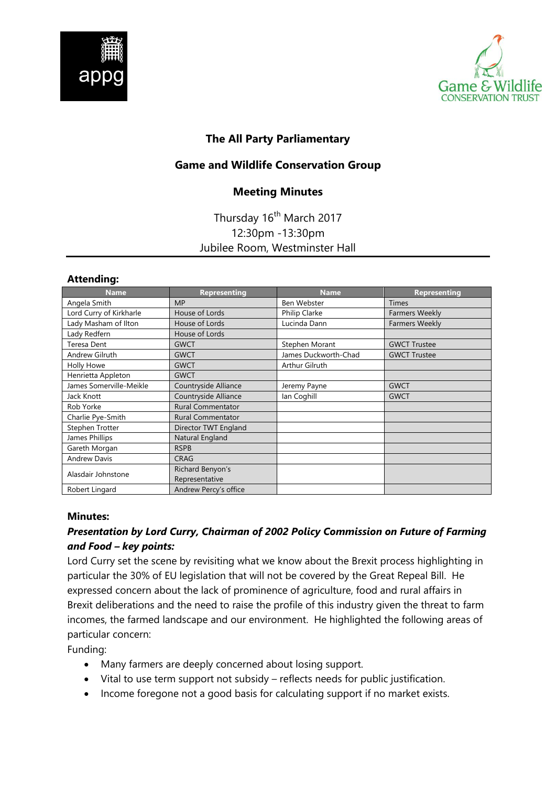



# **The All Party Parliamentary**

### **Game and Wildlife Conservation Group**

### **Meeting Minutes**

# Thursday 16<sup>th</sup> March 2017 12:30pm -13:30pm Jubilee Room, Westminster Hall

#### **Attending:**

| <b>Name</b>             | <b>Representing</b>      | <b>Name</b>          | <b>Representing</b>   |
|-------------------------|--------------------------|----------------------|-----------------------|
| Angela Smith            | <b>MP</b>                | Ben Webster          | <b>Times</b>          |
| Lord Curry of Kirkharle | House of Lords           | Philip Clarke        | <b>Farmers Weekly</b> |
| Lady Masham of Ilton    | House of Lords           | Lucinda Dann         | <b>Farmers Weekly</b> |
| Lady Redfern            | House of Lords           |                      |                       |
| Teresa Dent             | <b>GWCT</b>              | Stephen Morant       | <b>GWCT Trustee</b>   |
| Andrew Gilruth          | <b>GWCT</b>              | James Duckworth-Chad | <b>GWCT Trustee</b>   |
| Holly Howe              | <b>GWCT</b>              | Arthur Gilruth       |                       |
| Henrietta Appleton      | <b>GWCT</b>              |                      |                       |
| James Somerville-Meikle | Countryside Alliance     | Jeremy Payne         | <b>GWCT</b>           |
| Jack Knott              | Countryside Alliance     | lan Coghill          | <b>GWCT</b>           |
| Rob Yorke               | <b>Rural Commentator</b> |                      |                       |
| Charlie Pye-Smith       | <b>Rural Commentator</b> |                      |                       |
| Stephen Trotter         | Director TWT England     |                      |                       |
| James Phillips          | Natural England          |                      |                       |
| Gareth Morgan           | <b>RSPB</b>              |                      |                       |
| <b>Andrew Davis</b>     | <b>CRAG</b>              |                      |                       |
| Alasdair Johnstone      | Richard Benyon's         |                      |                       |
|                         | Representative           |                      |                       |
| Robert Lingard          | Andrew Percy's office    |                      |                       |

#### **Minutes:**

# *Presentation by Lord Curry, Chairman of 2002 Policy Commission on Future of Farming and Food – key points:*

Lord Curry set the scene by revisiting what we know about the Brexit process highlighting in particular the 30% of EU legislation that will not be covered by the Great Repeal Bill. He expressed concern about the lack of prominence of agriculture, food and rural affairs in Brexit deliberations and the need to raise the profile of this industry given the threat to farm incomes, the farmed landscape and our environment. He highlighted the following areas of particular concern:

Funding:

- Many farmers are deeply concerned about losing support.
- Vital to use term support not subsidy reflects needs for public justification.
- Income foregone not a good basis for calculating support if no market exists.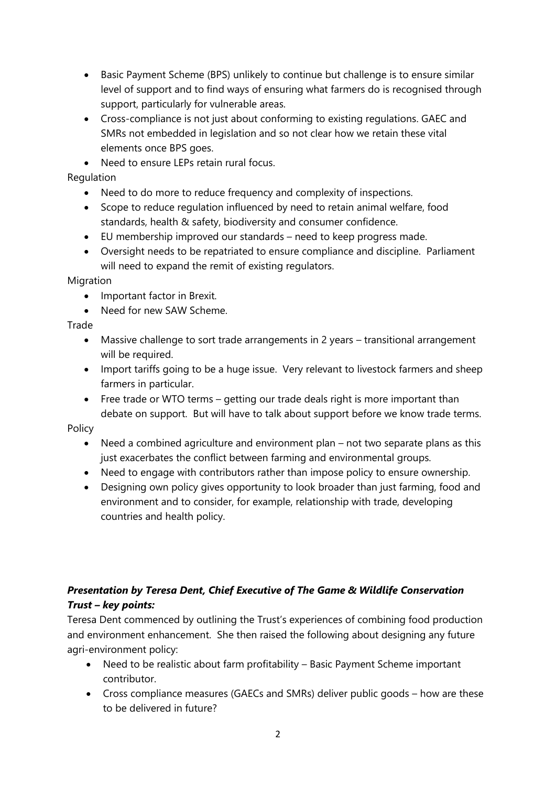- Basic Payment Scheme (BPS) unlikely to continue but challenge is to ensure similar level of support and to find ways of ensuring what farmers do is recognised through support, particularly for vulnerable areas.
- Cross-compliance is not just about conforming to existing regulations. GAEC and SMRs not embedded in legislation and so not clear how we retain these vital elements once BPS goes.
- Need to ensure LEPs retain rural focus.

Regulation

- Need to do more to reduce frequency and complexity of inspections.
- Scope to reduce regulation influenced by need to retain animal welfare, food standards, health & safety, biodiversity and consumer confidence.
- EU membership improved our standards need to keep progress made.
- Oversight needs to be repatriated to ensure compliance and discipline. Parliament will need to expand the remit of existing regulators.

Migration

- Important factor in Brexit.
- Need for new SAW Scheme.

Trade

- Massive challenge to sort trade arrangements in 2 years transitional arrangement will be required.
- Import tariffs going to be a huge issue. Very relevant to livestock farmers and sheep farmers in particular.
- Free trade or WTO terms getting our trade deals right is more important than debate on support. But will have to talk about support before we know trade terms.

Policy

- Need a combined agriculture and environment plan not two separate plans as this just exacerbates the conflict between farming and environmental groups.
- Need to engage with contributors rather than impose policy to ensure ownership.
- Designing own policy gives opportunity to look broader than just farming, food and environment and to consider, for example, relationship with trade, developing countries and health policy.

# *Presentation by Teresa Dent, Chief Executive of The Game & Wildlife Conservation Trust – key points:*

Teresa Dent commenced by outlining the Trust's experiences of combining food production and environment enhancement. She then raised the following about designing any future agri-environment policy:

- Need to be realistic about farm profitability Basic Payment Scheme important contributor.
- Cross compliance measures (GAECs and SMRs) deliver public goods how are these to be delivered in future?